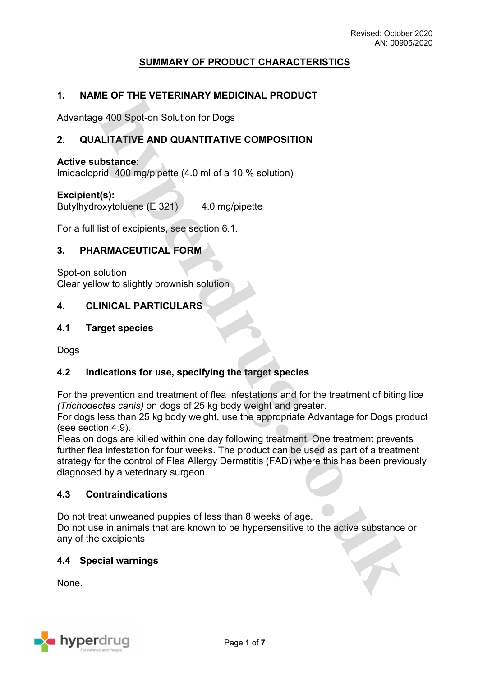# **SUMMARY OF PRODUCT CHARACTERISTICS**

## **1. NAME OF THE VETERINARY MEDICINAL PRODUCT**

Advantage 400 Spot-on Solution for Dogs

## **2. QUALITATIVE AND QUANTITATIVE COMPOSITION**

#### **Active substance:**

Imidacloprid 400 mg/pipette (4.0 ml of a 10 % solution)

### **Excipient(s):**

Butylhydroxytoluene (E 321) 4.0 mg/pipette

For a full list of excipients, see section 6.1.

## **3. PHARMACEUTICAL FORM**

Spot-on solution Clear yellow to slightly brownish solution

### **4. CLINICAL PARTICULARS**

### **4.1 Target species**

Dogs

### **4.2 Indications for use, specifying the target species**

For the prevention and treatment of flea infestations and for the treatment of biting lice *(Trichodectes canis)* on dogs of 25 kg body weight and greater.

For dogs less than 25 kg body weight, use the appropriate Advantage for Dogs product (see section 4.9).

Fleas on dogs are killed within one day following treatment. One treatment prevents further flea infestation for four weeks. The product can be used as part of a treatment strategy for the control of Flea Allergy Dermatitis (FAD) where this has been previously diagnosed by a veterinary surgeon.

### **4.3 Contraindications**

Do not treat unweaned puppies of less than 8 weeks of age. Do not use in animals that are known to be hypersensitive to the active substance or any of the excipients

### **4.4 Special warnings**

None.

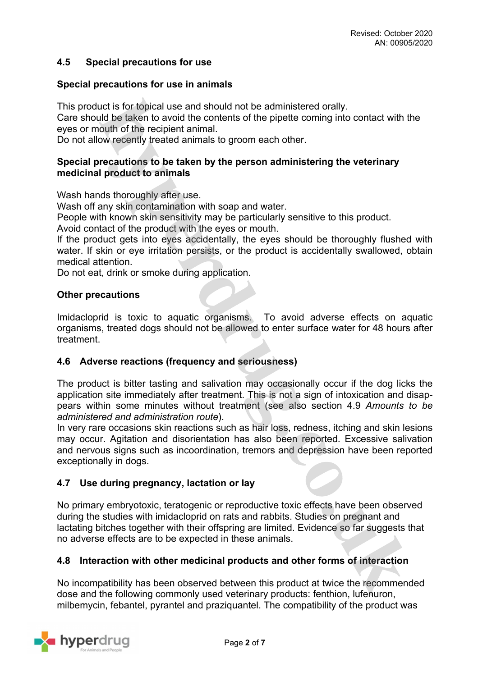## **4.5 Special precautions for use**

### **Special precautions for use in animals**

This product is for topical use and should not be administered orally.

Care should be taken to avoid the contents of the pipette coming into contact with the eyes or mouth of the recipient animal.

Do not allow recently treated animals to groom each other.

## **Special precautions to be taken by the person administering the veterinary medicinal product to animals**

Wash hands thoroughly after use.

Wash off any skin contamination with soap and water.

People with known skin sensitivity may be particularly sensitive to this product.

Avoid contact of the product with the eyes or mouth.

If the product gets into eyes accidentally, the eyes should be thoroughly flushed with water. If skin or eye irritation persists, or the product is accidentally swallowed, obtain medical attention.

Do not eat, drink or smoke during application.

### **Other precautions**

Imidacloprid is toxic to aquatic organisms. To avoid adverse effects on aquatic organisms, treated dogs should not be allowed to enter surface water for 48 hours after treatment.

## **4.6 Adverse reactions (frequency and seriousness)**

The product is bitter tasting and salivation may occasionally occur if the dog licks the application site immediately after treatment. This is not a sign of intoxication and disappears within some minutes without treatment (see also section 4.9 *Amounts to be administered and administration route*).

In very rare occasions skin reactions such as hair loss, redness, itching and skin lesions may occur. Agitation and disorientation has also been reported. Excessive salivation and nervous signs such as incoordination, tremors and depression have been reported exceptionally in dogs.

## **4.7 Use during pregnancy, lactation or lay**

No primary embryotoxic, teratogenic or reproductive toxic effects have been observed during the studies with imidacloprid on rats and rabbits. Studies on pregnant and lactating bitches together with their offspring are limited. Evidence so far suggests that no adverse effects are to be expected in these animals.

## **4.8 Interaction with other medicinal products and other forms of interaction**

No incompatibility has been observed between this product at twice the recommended dose and the following commonly used veterinary products: fenthion, lufenuron, milbemycin, febantel, pyrantel and praziquantel. The compatibility of the product was

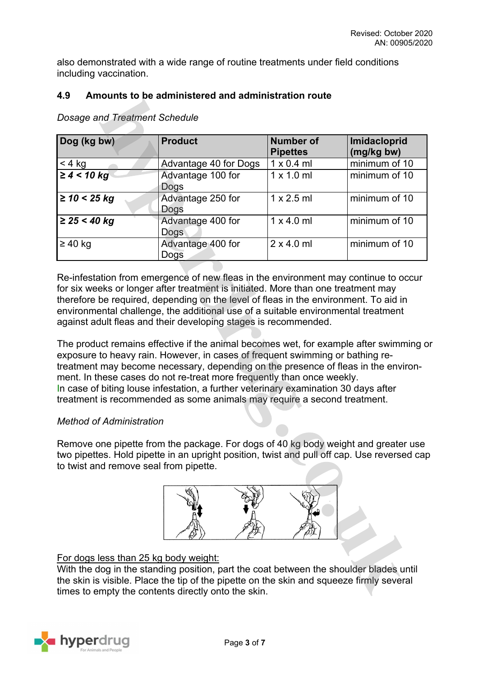also demonstrated with a wide range of routine treatments under field conditions including vaccination.

## **4.9 Amounts to be administered and administration route**

| Dog (kg bw)       | <b>Product</b>            | <b>Number of</b><br><b>Pipettes</b> | Imidacloprid<br>(mg/kg bw) |
|-------------------|---------------------------|-------------------------------------|----------------------------|
| $<$ 4 kg          | Advantage 40 for Dogs     | $1 \times 0.4$ ml                   | minimum of 10              |
| $\geq 4 < 10$ kg  | Advantage 100 for<br>Dogs | $1 \times 1.0$ ml                   | minimum of 10              |
| $\geq$ 10 < 25 kg | Advantage 250 for<br>Dogs | $1 \times 2.5$ ml                   | minimum of 10              |
| ≥ 25 < 40 kg      | Advantage 400 for<br>Dogs | $1 \times 4.0$ ml                   | minimum of 10              |
| $\geq 40$ kg      | Advantage 400 for<br>Dogs | $2 \times 4.0$ ml                   | minimum of 10              |

*Dosage and Treatment Schedule*

Re-infestation from emergence of new fleas in the environment may continue to occur for six weeks or longer after treatment is initiated. More than one treatment may therefore be required, depending on the level of fleas in the environment. To aid in environmental challenge, the additional use of a suitable environmental treatment against adult fleas and their developing stages is recommended.

The product remains effective if the animal becomes wet, for example after swimming or exposure to heavy rain. However, in cases of frequent swimming or bathing retreatment may become necessary, depending on the presence of fleas in the environment. In these cases do not re-treat more frequently than once weekly. In case of biting louse infestation, a further veterinary examination 30 days after treatment is recommended as some animals may require a second treatment.

## *Method of Administration*

Remove one pipette from the package. For dogs of 40 kg body weight and greater use two pipettes. Hold pipette in an upright position, twist and pull off cap. Use reversed cap to twist and remove seal from pipette.



# For dogs less than 25 kg body weight:

With the dog in the standing position, part the coat between the shoulder blades until the skin is visible. Place the tip of the pipette on the skin and squeeze firmly several times to empty the contents directly onto the skin.

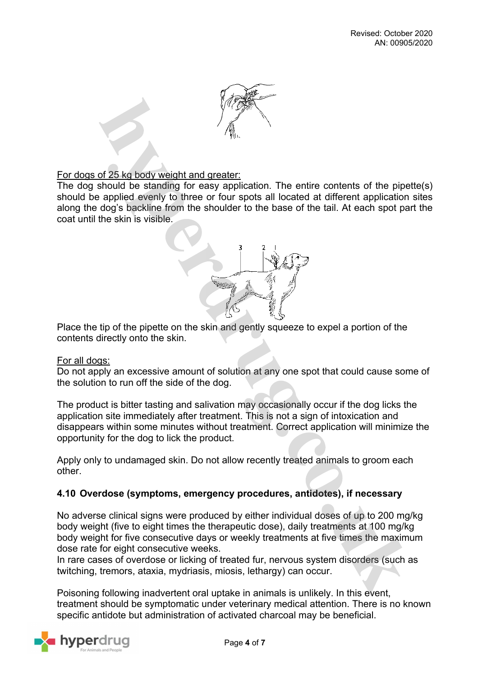

## For dogs of 25 kg body weight and greater:

The dog should be standing for easy application. The entire contents of the pipette(s) should be applied evenly to three or four spots all located at different application sites along the dog's backline from the shoulder to the base of the tail. At each spot part the coat until the skin is visible.



Place the tip of the pipette on the skin and gently squeeze to expel a portion of the contents directly onto the skin.

### For all dogs:

Do not apply an excessive amount of solution at any one spot that could cause some of the solution to run off the side of the dog.

The product is bitter tasting and salivation may occasionally occur if the dog licks the application site immediately after treatment. This is not a sign of intoxication and disappears within some minutes without treatment. Correct application will minimize the opportunity for the dog to lick the product.

Apply only to undamaged skin. Do not allow recently treated animals to groom each other.

## **4.10 Overdose (symptoms, emergency procedures, antidotes), if necessary**

No adverse clinical signs were produced by either individual doses of up to 200 mg/kg body weight (five to eight times the therapeutic dose), daily treatments at 100 mg/kg body weight for five consecutive days or weekly treatments at five times the maximum dose rate for eight consecutive weeks.

In rare cases of overdose or licking of treated fur, nervous system disorders (such as twitching, tremors, ataxia, mydriasis, miosis, lethargy) can occur.

Poisoning following inadvertent oral uptake in animals is unlikely. In this event, treatment should be symptomatic under veterinary medical attention. There is no known specific antidote but administration of activated charcoal may be beneficial.

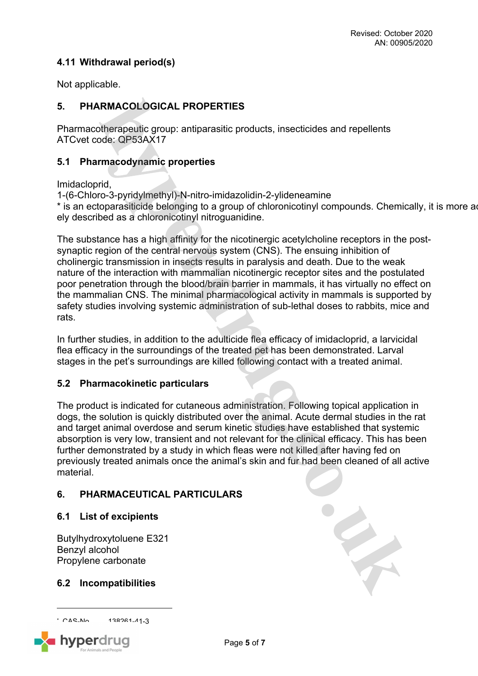# **4.11 Withdrawal period(s)**

Not applicable.

# **5. PHARMACOLOGICAL PROPERTIES**

Pharmacotherapeutic group: antiparasitic products, insecticides and repellents ATCvet code: QP53AX17

## **5.1 Pharmacodynamic properties**

Imidacloprid,

1-(6-Chloro-3-pyridylmethyl)-N-nitro-imidazolidin-2-ylideneamine

\* is an ectoparasiticide belonging to a group of chloronicotinyl compounds. Chemically, it is more adely described as a chloronicotinyl nitroguanidine.

The substance has a high affinity for the nicotinergic acetylcholine receptors in the postsynaptic region of the central nervous system (CNS). The ensuing inhibition of cholinergic transmission in insects results in paralysis and death. Due to the weak nature of the interaction with mammalian nicotinergic receptor sites and the postulated poor penetration through the blood/brain barrier in mammals, it has virtually no effect on the mammalian CNS. The minimal pharmacological activity in mammals is supported by safety studies involving systemic administration of sub-lethal doses to rabbits, mice and rats.

In further studies, in addition to the adulticide flea efficacy of imidacloprid, a larvicidal flea efficacy in the surroundings of the treated pet has been demonstrated. Larval stages in the pet's surroundings are killed following contact with a treated animal.

## **5.2 Pharmacokinetic particulars**

The product is indicated for cutaneous administration. Following topical application in dogs, the solution is quickly distributed over the animal. Acute dermal studies in the rat and target animal overdose and serum kinetic studies have established that systemic absorption is very low, transient and not relevant for the clinical efficacy. This has been further demonstrated by a study in which fleas were not killed after having fed on previously treated animals once the animal's skin and fur had been cleaned of all active material.

# **6. PHARMACEUTICAL PARTICULARS**

## **6.1 List of excipients**

Butylhydroxytoluene E321 Benzyl alcohol Propylene carbonate

## **6.2 Incompatibilities**

\* CAS-No. 138261-41-3



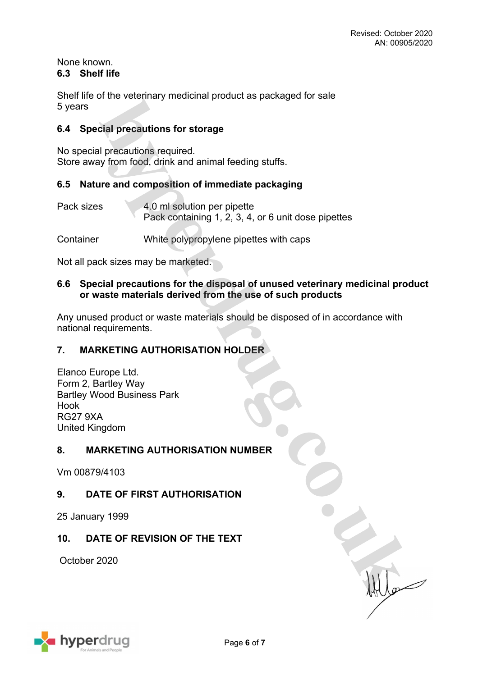### None known. **6.3 Shelf life**

Shelf life of the veterinary medicinal product as packaged for sale 5 years

# **6.4 Special precautions for storage**

No special precautions required. Store away from food, drink and animal feeding stuffs.

# **6.5 Nature and composition of immediate packaging**

- Pack sizes 4.0 ml solution per pipette Pack containing 1, 2, 3, 4, or 6 unit dose pipettes
- Container White polypropylene pipettes with caps

Not all pack sizes may be marketed.

## **6.6 Special precautions for the disposal of unused veterinary medicinal product or waste materials derived from the use of such products**

Any unused product or waste materials should be disposed of in accordance with national requirements.

# **7. MARKETING AUTHORISATION HOLDER**

Elanco Europe Ltd. Form 2, Bartley Way Bartley Wood Business Park Hook RG27 9XA United Kingdom

## **8. MARKETING AUTHORISATION NUMBER**

Vm 00879/4103

# **9. DATE OF FIRST AUTHORISATION**

25 January 1999

# **10. DATE OF REVISION OF THE TEXT**

October 2020